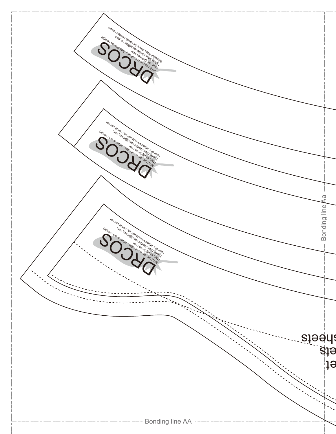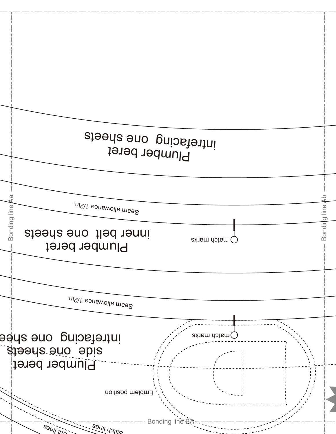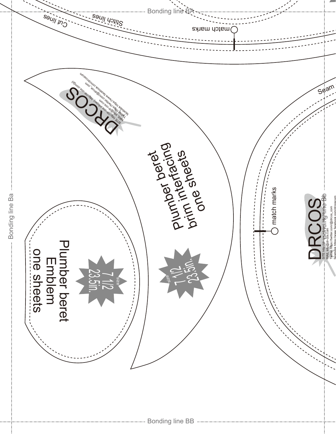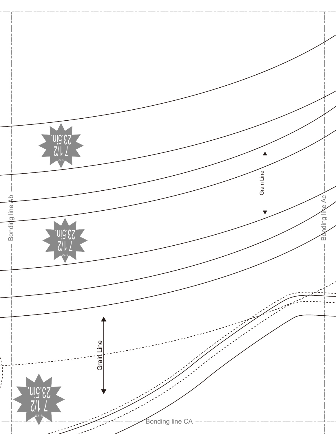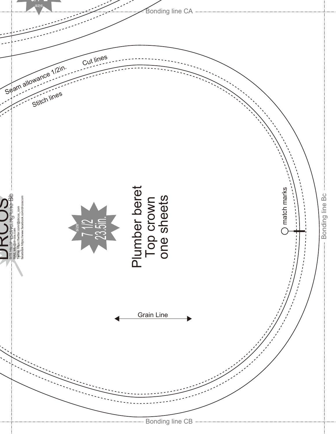